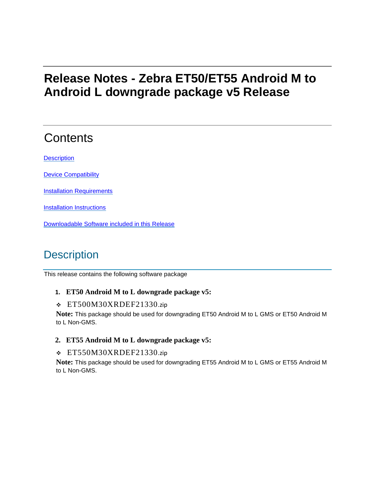# **Release Notes - Zebra ET50/ET55 Android M to Android L downgrade package v5 Release**

# **Contents**

**[Description](#page-0-0)** 

[Device Compatibility](#page-1-0)

**[Installation Requirements](#page-1-1)** 

**[Installation Instructions](#page-1-2)** 

[Downloadable Software included in this Release](#page-3-0)

## <span id="page-0-0"></span>**Description**

This release contains the following software package

#### **1. ET50 Android M to L downgrade package v5:**

#### ❖ ET500M30XRDEF21330.zip

**Note:** This package should be used for downgrading ET50 Android M to L GMS or ET50 Android M to L Non-GMS.

#### **2. ET55 Android M to L downgrade package v5:**

#### ❖ ET550M30XRDEF21330.zip

**Note:** This package should be used for downgrading ET55 Android M to L GMS or ET55 Android M to L Non-GMS.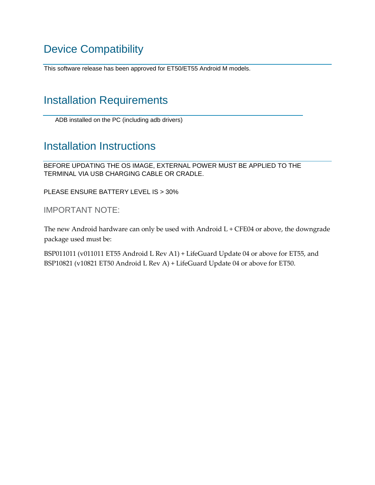## <span id="page-1-0"></span>Device Compatibility

This software release has been approved for ET50/ET55 Android M models.

### <span id="page-1-1"></span>Installation Requirements

ADB installed on the PC (including adb drivers)

### <span id="page-1-2"></span>Installation Instructions

BEFORE UPDATING THE OS IMAGE, EXTERNAL POWER MUST BE APPLIED TO THE TERMINAL VIA USB CHARGING CABLE OR CRADLE.

PLEASE ENSURE BATTERY LEVEL IS > 30%

IMPORTANT NOTE:

The new Android hardware can only be used with Android  $L$  + CFE04 or above, the downgrade package used must be:

BSP011011 (v011011 ET55 Android L Rev A1) + LifeGuard Update 04 or above for ET55, and BSP10821 (v10821 ET50 Android L Rev A) + LifeGuard Update 04 or above for ET50.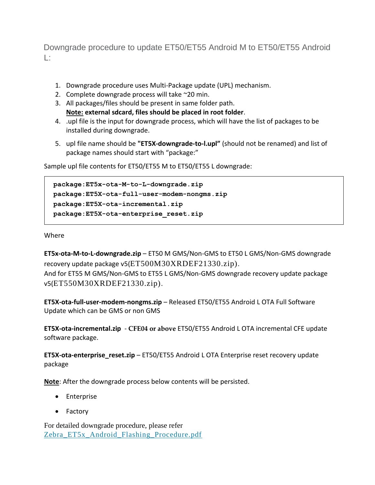Downgrade procedure to update ET50/ET55 Android M to ET50/ET55 Android L:

- 1. Downgrade procedure uses Multi-Package update (UPL) mechanism.
- 2. Complete downgrade process will take ~20 min.
- 3. All packages/files should be present in same folder path. **Note: external sdcard, files should be placed in root folder**.
- 4. .upl file is the input for downgrade process, which will have the list of packages to be installed during downgrade.
- 5. upl file name should be **"ET5X-downgrade-to-l.upl"** (should not be renamed) and list of package names should start with "package:"

Sample upl file contents for ET50/ET55 M to ET50/ET55 L downgrade:

```
package:ET5x-ota-M-to-L-downgrade.zip
package:ET5X-ota-full-user-modem-nongms.zip
package:ET5X-ota-incremental.zip
package:ET5X-ota-enterprise_reset.zip
_______________________________________________________________________
```
Where

**ET5x-ota-M-to-L-downgrade.zip** – ET50 M GMS/Non-GMS to ET50 L GMS/Non-GMS downgrade recovery update package v5(ET500M30XRDEF21330.zip).

And for ET55 M GMS/Non-GMS to ET55 L GMS/Non-GMS downgrade recovery update package v5(ET550M30XRDEF21330.zip).

**ET5X-ota-full-user-modem-nongms.zip** – Released ET50/ET55 Android L OTA Full Software Update which can be GMS or non GMS

**ET5X-ota-incremental.zip** - **CFE04 or above** ET50/ET55 Android L OTA incremental CFE update software package.

**ET5X-ota-enterprise\_reset.zip** – ET50/ET55 Android L OTA Enterprise reset recovery update package

**Note**: After the downgrade process below contents will be persisted.

- Enterprise
- Factory

For detailed downgrade procedure, please refer [Zebra\\_ET5x\\_Android\\_Flashing\\_Procedure.pdf](https://www.zebra.com/content/dam/zebra_new_ia/en-us/software/operating-system/ET5X%20Operating%20System/Zebra-ET5x-Android-Flashing-Procedure.pdf)